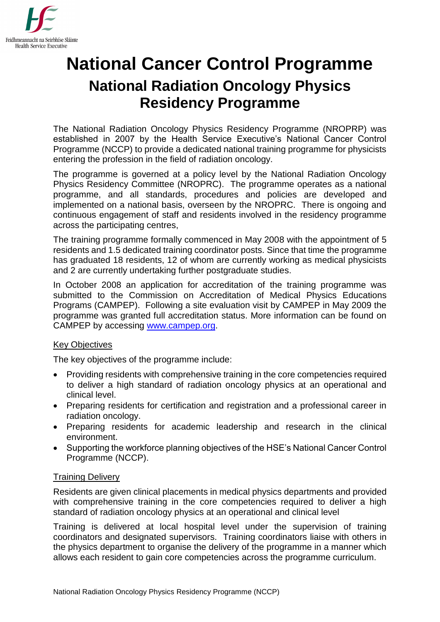

# **National Cancer Control Programme National Radiation Oncology Physics Residency Programme**

The National Radiation Oncology Physics Residency Programme (NROPRP) was established in 2007 by the Health Service Executive's National Cancer Control Programme (NCCP) to provide a dedicated national training programme for physicists entering the profession in the field of radiation oncology.

The programme is governed at a policy level by the National Radiation Oncology Physics Residency Committee (NROPRC). The programme operates as a national programme, and all standards, procedures and policies are developed and implemented on a national basis, overseen by the NROPRC. There is ongoing and continuous engagement of staff and residents involved in the residency programme across the participating centres,

The training programme formally commenced in May 2008 with the appointment of 5 residents and 1.5 dedicated training coordinator posts. Since that time the programme has graduated 18 residents, 12 of whom are currently working as medical physicists and 2 are currently undertaking further postgraduate studies.

In October 2008 an application for accreditation of the training programme was submitted to the Commission on Accreditation of Medical Physics Educations Programs (CAMPEP). Following a site evaluation visit by CAMPEP in May 2009 the programme was granted full accreditation status. More information can be found on CAMPEP by accessing [www.campep.org.](http://www.campep.org/)

## Key Objectives

The key objectives of the programme include:

- Providing residents with comprehensive training in the core competencies required to deliver a high standard of radiation oncology physics at an operational and clinical level.
- Preparing residents for certification and registration and a professional career in radiation oncology.
- Preparing residents for academic leadership and research in the clinical environment.
- Supporting the workforce planning objectives of the HSE's National Cancer Control Programme (NCCP).

## Training Delivery

Residents are given clinical placements in medical physics departments and provided with comprehensive training in the core competencies required to deliver a high standard of radiation oncology physics at an operational and clinical level

Training is delivered at local hospital level under the supervision of training coordinators and designated supervisors. Training coordinators liaise with others in the physics department to organise the delivery of the programme in a manner which allows each resident to gain core competencies across the programme curriculum.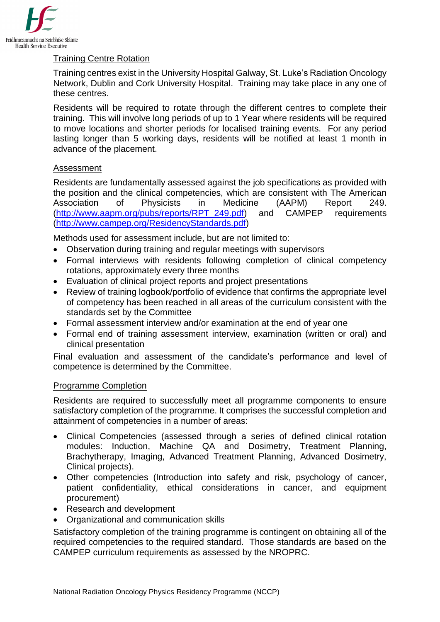

# Training Centre Rotation

Training centres exist in the University Hospital Galway, St. Luke's Radiation Oncology Network, Dublin and Cork University Hospital. Training may take place in any one of these centres.

Residents will be required to rotate through the different centres to complete their training. This will involve long periods of up to 1 Year where residents will be required to move locations and shorter periods for localised training events. For any period lasting longer than 5 working days, residents will be notified at least 1 month in advance of the placement.

## Assessment

Residents are fundamentally assessed against the job specifications as provided with the position and the clinical competencies, which are consistent with The American Association of Physicists in Medicine (AAPM) Report 249. [\(http://www.aapm.org/pubs/reports/RPT\\_249.pdf\)](http://www.aapm.org/pubs/reports/RPT_249.pdf) and CAMPEP requirements [\(http://www.campep.org/ResidencyStandards.pdf\)](http://www.campep.org/ResidencyStandards.pdf)

Methods used for assessment include, but are not limited to:

- Observation during training and regular meetings with supervisors
- Formal interviews with residents following completion of clinical competency rotations, approximately every three months
- Evaluation of clinical project reports and project presentations
- Review of training logbook/portfolio of evidence that confirms the appropriate level of competency has been reached in all areas of the curriculum consistent with the standards set by the Committee
- Formal assessment interview and/or examination at the end of year one
- Formal end of training assessment interview, examination (written or oral) and clinical presentation

Final evaluation and assessment of the candidate's performance and level of competence is determined by the Committee.

## Programme Completion

Residents are required to successfully meet all programme components to ensure satisfactory completion of the programme. It comprises the successful completion and attainment of competencies in a number of areas:

- Clinical Competencies (assessed through a series of defined clinical rotation modules: Induction, Machine QA and Dosimetry, Treatment Planning, Brachytherapy, Imaging, Advanced Treatment Planning, Advanced Dosimetry, Clinical projects).
- Other competencies (Introduction into safety and risk, psychology of cancer, patient confidentiality, ethical considerations in cancer, and equipment procurement)
- Research and development
- Organizational and communication skills

Satisfactory completion of the training programme is contingent on obtaining all of the required competencies to the required standard. Those standards are based on the CAMPEP curriculum requirements as assessed by the NROPRC.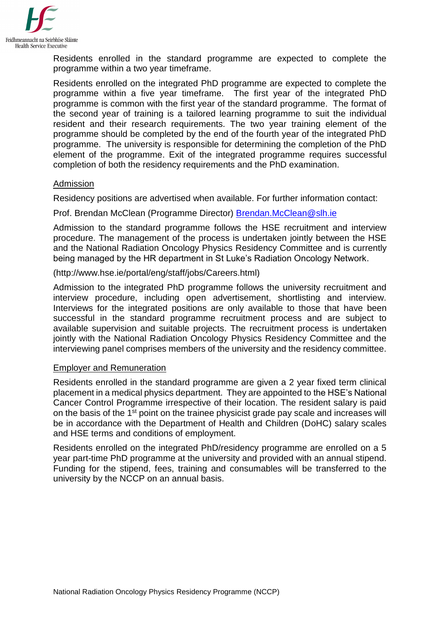

Residents enrolled in the standard programme are expected to complete the programme within a two year timeframe.

Residents enrolled on the integrated PhD programme are expected to complete the programme within a five year timeframe. The first year of the integrated PhD programme is common with the first year of the standard programme. The format of the second year of training is a tailored learning programme to suit the individual resident and their research requirements. The two year training element of the programme should be completed by the end of the fourth year of the integrated PhD programme. The university is responsible for determining the completion of the PhD element of the programme. Exit of the integrated programme requires successful completion of both the residency requirements and the PhD examination.

#### Admission

Residency positions are advertised when available. For further information contact:

Prof. Brendan McClean (Programme Director) [Brendan.McClean@slh.ie](mailto:Brendan.McClean@slh.ie)

Admission to the standard programme follows the HSE recruitment and interview procedure. The management of the process is undertaken jointly between the HSE and the National Radiation Oncology Physics Residency Committee and is currently being managed by the HR department in St Luke's Radiation Oncology Network.

#### (http://www.hse.ie/portal/eng/staff/jobs/Careers.html)

Admission to the integrated PhD programme follows the university recruitment and interview procedure, including open advertisement, shortlisting and interview. Interviews for the integrated positions are only available to those that have been successful in the standard programme recruitment process and are subject to available supervision and suitable projects. The recruitment process is undertaken jointly with the National Radiation Oncology Physics Residency Committee and the interviewing panel comprises members of the university and the residency committee.

#### Employer and Remuneration

Residents enrolled in the standard programme are given a 2 year fixed term clinical placement in a medical physics department. They are appointed to the HSE's National Cancer Control Programme irrespective of their location. The resident salary is paid on the basis of the 1<sup>st</sup> point on the trainee physicist grade pay scale and increases will be in accordance with the Department of Health and Children (DoHC) salary scales and HSE terms and conditions of employment.

Residents enrolled on the integrated PhD/residency programme are enrolled on a 5 year part-time PhD programme at the university and provided with an annual stipend. Funding for the stipend, fees, training and consumables will be transferred to the university by the NCCP on an annual basis.